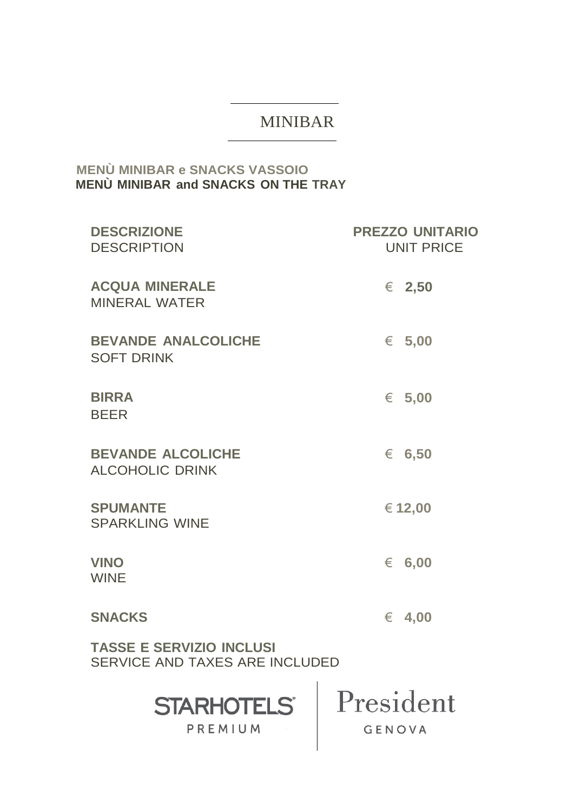# **MINIBAR**

## **MENÙ MINIBAR e SNACKS VASSOIO** MENÙ MINIBAR and SNACKS ON THE TRAY

| <b>DESCRIZIONE</b><br><b>DESCRIPTION</b>                                 | <b>PREZZO UNITARIO</b><br><b>UNIT PRICE</b> |  |  |
|--------------------------------------------------------------------------|---------------------------------------------|--|--|
| <b>ACQUA MINERALE</b><br><b>MINERAL WATER</b>                            | € 2,50                                      |  |  |
| <b>BEVANDE ANALCOLICHE</b><br><b>SOFT DRINK</b>                          | € 5,00                                      |  |  |
| <b>BIRRA</b><br><b>BEER</b>                                              | € 5,00                                      |  |  |
| <b>BEVANDE ALCOLICHE</b><br><b>ALCOHOLIC DRINK</b>                       | € 6,50                                      |  |  |
| <b>SPUMANTE</b><br><b>SPARKLING WINE</b>                                 | € 12,00                                     |  |  |
| <b>VINO</b><br><b>WINE</b>                                               | $\epsilon$ 6,00                             |  |  |
| <b>SNACKS</b>                                                            | 4,00<br>€                                   |  |  |
| <b>TASSE E SERVIZIO INCLUSI</b><br><b>SERVICE AND TAXES ARE INCLUDED</b> |                                             |  |  |
| <b>STARHOTELS®</b><br>PREMIUM                                            | President<br>GENOVA                         |  |  |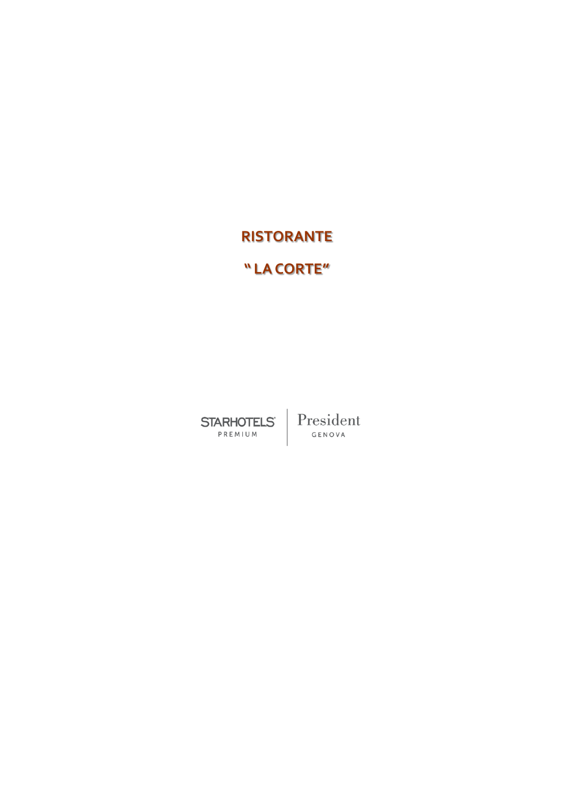# **RISTORANTE**

## **" LACORTE"**

**STARHOTELS** PREMIUM

President GENOVA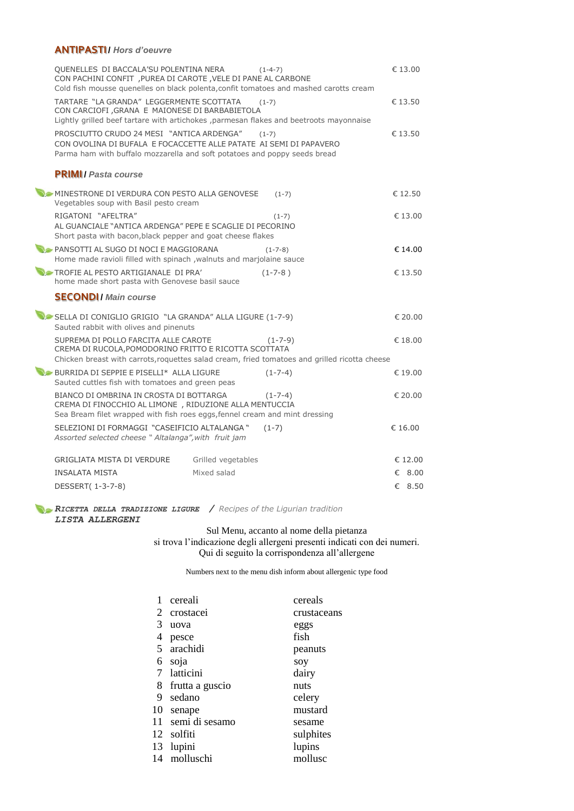### **ANTIPASTI /** *Hors d'oeuvre*

| OUENELLES DI BACCALA'SU POLENTINA NERA<br>CON PACHINI CONFIT , PUREA DI CAROTE , VELE DI PANE AL CARBONE<br>Cold fish mousse quenelles on black polenta, confit tomatoes and mashed carotts cream | $(1-4-7)$          | $\epsilon$ 13.00 |
|---------------------------------------------------------------------------------------------------------------------------------------------------------------------------------------------------|--------------------|------------------|
| TARTARE "LA GRANDA" LEGGERMENTE SCOTTATA<br>CON CARCIOFI , GRANA E MAIONESE DI BARBABIETOLA<br>Lightly grilled beef tartare with artichokes, parmesan flakes and beetroots mayonnaise             | $(1-7)$            | €13.50           |
| PROSCIUTTO CRUDO 24 MESI "ANTICA ARDENGA"<br>CON OVOLINA DI BUFALA E FOCACCETTE ALLE PATATE AI SEMI DI PAPAVERO<br>Parma ham with buffalo mozzarella and soft potatoes and poppy seeds bread      | $(1-7)$            | €13.50           |
| <b>PRIMI</b> / Pasta course                                                                                                                                                                       |                    |                  |
| MINESTRONE DI VERDURA CON PESTO ALLA GENOVESE<br>Vegetables soup with Basil pesto cream                                                                                                           | $(1-7)$            | €12.50           |
| RIGATONI "AFELTRA"<br>AL GUANCIALE "ANTICA ARDENGA" PEPE E SCAGLIE DI PECORINO<br>Short pasta with bacon, black pepper and goat cheese flakes                                                     | $(1-7)$            | € 13.00          |
| PANSOTTI AL SUGO DI NOCI E MAGGIORANA<br>Home made ravioli filled with spinach , walnuts and marjolaine sauce                                                                                     | $(1 - 7 - 8)$      | € 14.00          |
| TROFIE AL PESTO ARTIGIANALE DI PRA'<br>home made short pasta with Genovese basil sauce                                                                                                            | $(1 - 7 - 8)$      | € 13.50          |
| <b>SECONDI</b> / Main course                                                                                                                                                                      |                    |                  |
| SELLA DI CONIGLIO GRIGIO "LA GRANDA" ALLA LIGURE (1-7-9)<br>Sauted rabbit with olives and pinenuts                                                                                                |                    | € 20.00          |
| SUPREMA DI POLLO FARCITA ALLE CAROTE<br>CREMA DI RUCOLA, POMODORINO FRITTO E RICOTTA SCOTTATA<br>Chicken breast with carrots, roquettes salad cream, fried tomatoes and grilled ricotta cheese    | $(1 - 7 - 9)$      | € 18.00          |
| BURRIDA DI SEPPIE E PISELLI* ALLA LIGURE<br>Sauted cuttles fish with tomatoes and green peas                                                                                                      | $(1-7-4)$          | € 19.00          |
| BIANCO DI OMBRINA IN CROSTA DI BOTTARGA<br>CREMA DI FINOCCHIO AL LIMONE , RIDUZIONE ALLA MENTUCCIA<br>Sea Bream filet wrapped with fish roes eggs, fennel cream and mint dressing                 | $(1 - 7 - 4)$      | € 20.00          |
| SELEZIONI DI FORMAGGI "CASEIFICIO ALTALANGA"<br>Assorted selected cheese " Altalanga", with fruit jam                                                                                             | $(1-7)$            | € 16.00          |
| GRIGLIATA MISTA DI VERDURE                                                                                                                                                                        | Grilled vegetables | € 12.00          |
| <b>INSALATA MISTA</b>                                                                                                                                                                             | Mixed salad        | € 8.00           |
| DESSERT(1-3-7-8)                                                                                                                                                                                  |                    | € 8.50           |

*RICETTA DELLA TRADIZIONE LIGURE / Recipes of the Ligurian tradition LISTA ALLERGENI*

### Sul Menu, accanto al nome della pietanza

si trova l'indicazione degli allergeni presenti indicati con dei numeri. Qui di seguito la corrispondenza all'allergene

Numbers next to the menu dish inform about allergenic type food

|    | cereali           | cereals     |
|----|-------------------|-------------|
| 2  | crostacei         | crustaceans |
| 3  | uova              | eggs        |
| 4  | pesce             | fish        |
|    | 5 arachidi        | peanuts     |
| 6  | soja              | soy         |
|    | 7 latticini       | dairy       |
| 8  | frutta a guscio   | nuts        |
| 9  | sedano            | celery      |
| 10 | senape            | mustard     |
|    | 11 semi di sesamo | sesame      |
|    | 12 solfiti        | sulphites   |
| 13 | lupini            | lupins      |
|    | 14 molluschi      | mollusc     |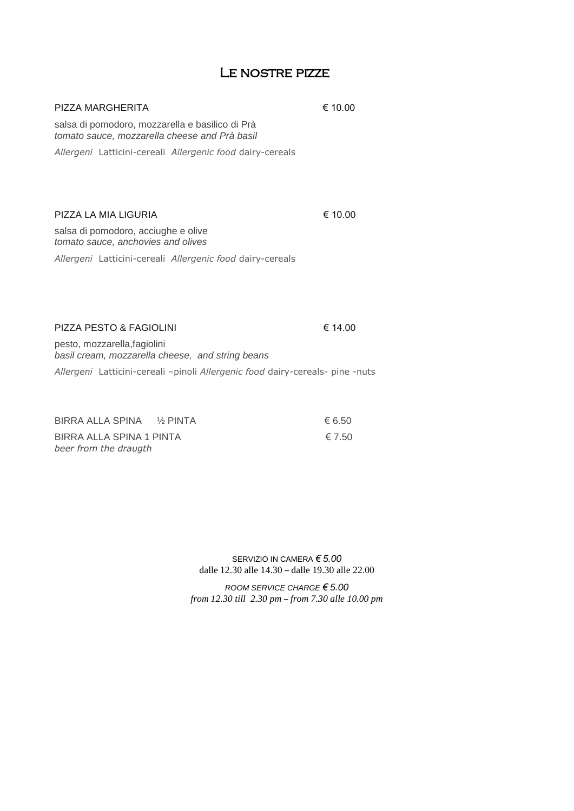### Le nostre pizze

| PIZZA MARGHERITA                                                                                 | € 10.00 |
|--------------------------------------------------------------------------------------------------|---------|
| salsa di pomodoro, mozzarella e basilico di Prà<br>tomato sauce, mozzarella cheese and Prà basil |         |
| Allergeni Latticini-cereali Allergenic food dairy-cereals                                        |         |
| PIZZA LA MIA LIGURIA                                                                             | € 10.00 |

salsa di pomodoro, acciughe e olive *tomato sauce, anchovies and olives*

*Allergeni* Latticini-cereali *Allergenic food* dairy-cereals

### PIZZA PESTO & FAGIOLINI <del>€</del> 14.00

pesto, mozzarella,fagiolini *basil cream, mozzarella cheese, and string beans*

*Allergeni* Latticini-cereali –pinoli *Allergenic food* dairy-cereals- pine -nuts

| BIRRA ALLA SPINA % PINTA | 6.50   |
|--------------------------|--------|
| BIRRA ALLA SPINA 1 PINTA | € 7.50 |
| beer from the draugth    |        |

SERVIZIO IN CAMERA *€ 5.00* dalle 12.30 alle 14.30 – dalle 19.30 alle 22.00

*ROOM SERVICE CHARGE € 5.00 from 12.30 till 2.30 pm – from 7.30 alle 10.00 pm*